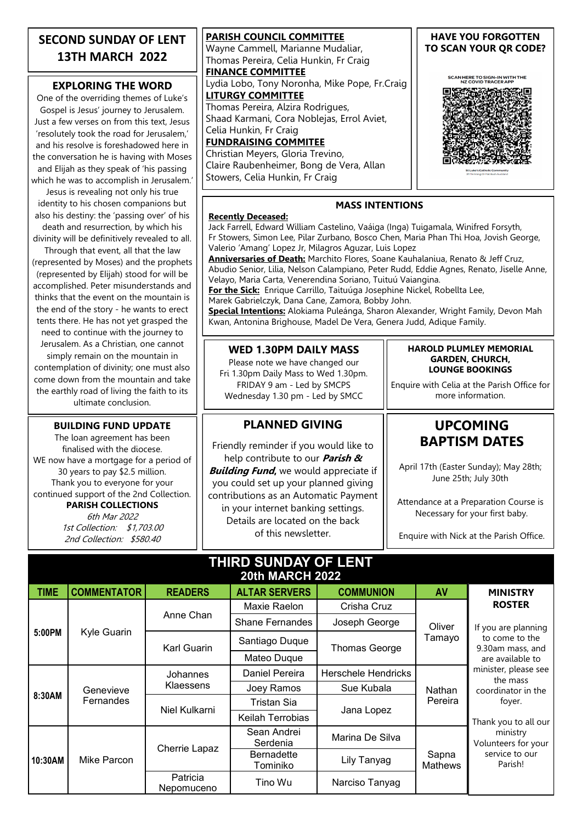# **SECOND SUNDAY OF LENT 13TH MARCH 2022**

### **EXPLORING THE WORD**

One of the overriding themes of Luke's Gospel is Jesus' journey to Jerusalem. Just a few verses on from this text, Jesus 'resolutely took the road for Jerusalem,' and his resolve is foreshadowed here in the conversation he is having with Moses and Elijah as they speak of 'his passing which he was to accomplish in Jerusalem.'

Jesus is revealing not only his true identity to his chosen companions but also his destiny: the 'passing over' of his death and resurrection, by which his

divinity will be definitively revealed to all. Through that event, all that the law

(represented by Moses) and the prophets (represented by Elijah) stood for will be accomplished. Peter misunderstands and thinks that the event on the mountain is the end of the story - he wants to erect tents there. He has not yet grasped the need to continue with the journey to Jerusalem. As a Christian, one cannot simply remain on the mountain in contemplation of divinity; one must also come down from the mountain and take the earthly road of living the faith to its ultimate conclusion.

#### **BUILDING FUND UPDATE**

The loan agreement has been finalised with the diocese. WE now have a mortgage for a period of 30 years to pay \$2.5 million. Thank you to everyone for your continued support of the 2nd Collection. **PARISH COLLECTIONS**

6th Mar 2022 1st Collection: \$1,703.00 2nd Collection: \$580.40

**PARISH COUNCIL COMMITTEE** Wayne Cammell, Marianne Mudaliar, Thomas Pereira, Celia Hunkin, Fr Craig **FINANCE COMMITTEE** Lydia Lobo, Tony Noronha, Mike Pope, Fr.Craig **LITURGY COMMITTEE** Thomas Pereira, Alzira Rodrigues, Shaad Karmani, Cora Noblejas, Errol Aviet, Celia Hunkin, Fr Craig **FUNDRAISING COMMITEE** Christian Meyers, Gloria Trevino,

Claire Raubenheimer, Bong de Vera, Allan Stowers, Celia Hunkin, Fr Craig

#### **HAVE YOU FORGOTTEN TO SCAN YOUR QR CODE?**

SCAN HERE TO SIGN-IN WITH THE<br>NZ COVID TRACER APP



#### **Recently Deceased:**

Jack Farrell, Edward William Castelino, Vaáiga (Inga) Tuigamala, Winifred Forsyth, Fr Stowers, Simon Lee, Pilar Zurbano, Bosco Chen, Maria Phan Thi Hoa, Jovish George, Valerio 'Amang' Lopez Jr, Milagros Aguzar, Luis Lopez

**MASS INTENTIONS**

**Anniversaries of Death:** Marchito Flores, Soane Kauhalaniua, Renato & Jeff Cruz, Abudio Senior, Lilia, Nelson Calampiano, Peter Rudd, Eddie Agnes, Renato, Jiselle Anne, Velayo, Maria Carta, Venerendina Soriano, Tuituú Vaiangina. **For the Sick:** Enrique Carrillo, Taituúga Josephine Nickel, Robellta Lee,

Marek Gabrielczyk, Dana Cane, Zamora, Bobby John.

**Special Intentions:** Alokiama Puleánga, Sharon Alexander, Wright Family, Devon Mah Kwan, Antonina Brighouse, Madel De Vera, Genera Judd, Adique Family.

### **WED 1.30PM DAILY MASS**

Please note we have changed our Fri 1.30pm Daily Mass to Wed 1.30pm. FRIDAY 9 am - Led by SMCPS Wednesday 1.30 pm - Led by SMCC

## **PLANNED GIVING**

Friendly reminder if you would like to help contribute to our **Parish & Building Fund,** we would appreciate if you could set up your planned giving contributions as an Automatic Payment in your internet banking settings. Details are located on the back of this newsletter.

#### **HAROLD PLUMLEY MEMORIAL GARDEN, CHURCH, LOUNGE BOOKINGS**

Enquire with Celia at the Parish Office for more information.

# **UPCOMING BAPTISM DATES**

April 17th (Easter Sunday); May 28th; June 25th; July 30th

Attendance at a Preparation Course is Necessary for your first baby.

Enquire with Nick at the Parish Office.

| THIRD SUNDAY OF LENT<br><b>20th MARCH 2022</b> |                        |                        |                               |                            |                   |                                                                                                                                                          |
|------------------------------------------------|------------------------|------------------------|-------------------------------|----------------------------|-------------------|----------------------------------------------------------------------------------------------------------------------------------------------------------|
| <b>TIME</b>                                    | <b>COMMENTATOR</b>     | <b>READERS</b>         | <b>ALTAR SERVERS</b>          | <b>COMMUNION</b>           | AV                | <b>MINISTRY</b>                                                                                                                                          |
| 5:00PM                                         | Kyle Guarin            | Anne Chan              | Maxie Raelon                  | Crisha Cruz                | Oliver<br>Tamayo  | <b>ROSTER</b><br>If you are planning<br>to come to the<br>9.30am mass, and<br>are available to<br>minister, please see<br>the mass<br>coordinator in the |
|                                                |                        |                        | <b>Shane Fernandes</b>        | Joseph George              |                   |                                                                                                                                                          |
|                                                |                        | <b>Karl Guarin</b>     | Santiago Duque                | <b>Thomas George</b>       |                   |                                                                                                                                                          |
|                                                |                        |                        | Mateo Duque                   |                            |                   |                                                                                                                                                          |
| 8:30AM                                         | Genevieve<br>Fernandes | Johannes<br>Klaessens  | Daniel Pereira                | <b>Herschele Hendricks</b> | Nathan<br>Pereira |                                                                                                                                                          |
|                                                |                        |                        | Joey Ramos                    | Sue Kubala                 |                   |                                                                                                                                                          |
|                                                |                        | Niel Kulkarni          | Tristan Sia                   | Jana Lopez                 |                   | foyer.                                                                                                                                                   |
|                                                |                        |                        | <b>Keilah Terrobias</b>       |                            |                   | Thank you to all our                                                                                                                                     |
| 10:30AM                                        | Mike Parcon            | Cherrie Lapaz          | Sean Andrei<br>Serdenia       | Marina De Silva            | Sapna<br>Mathews  | ministry<br>Volunteers for your<br>service to our<br>Parish!                                                                                             |
|                                                |                        |                        | <b>Bernadette</b><br>Tominiko | Lily Tanyag                |                   |                                                                                                                                                          |
|                                                |                        | Patricia<br>Nepomuceno | Tino Wu                       | Narciso Tanyag             |                   |                                                                                                                                                          |